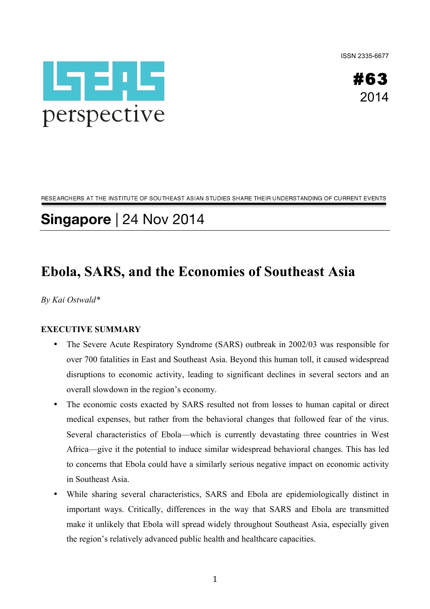ISSN 2335-6677





RESEARCHERS AT THE INSTITUTE OF SOUTHEAST ASIAN STUDIES SHARE THEIR UNDERSTANDING OF CURRENT EVENTS

# **Singapore** | 24 Nov 2014

# **Ebola, SARS, and the Economies of Southeast Asia**

*By Kai Ostwald\**

#### **EXECUTIVE SUMMARY**

- The Severe Acute Respiratory Syndrome (SARS) outbreak in 2002/03 was responsible for over 700 fatalities in East and Southeast Asia. Beyond this human toll, it caused widespread disruptions to economic activity, leading to significant declines in several sectors and an overall slowdown in the region's economy.
- The economic costs exacted by SARS resulted not from losses to human capital or direct medical expenses, but rather from the behavioral changes that followed fear of the virus. Several characteristics of Ebola—which is currently devastating three countries in West Africa—give it the potential to induce similar widespread behavioral changes. This has led to concerns that Ebola could have a similarly serious negative impact on economic activity in Southeast Asia.
- While sharing several characteristics, SARS and Ebola are epidemiologically distinct in important ways. Critically, differences in the way that SARS and Ebola are transmitted make it unlikely that Ebola will spread widely throughout Southeast Asia, especially given the region's relatively advanced public health and healthcare capacities.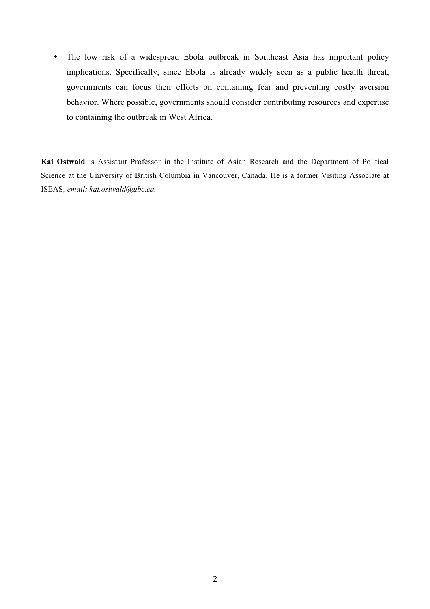• The low risk of a widespread Ebola outbreak in Southeast Asia has important policy implications. Specifically, since Ebola is already widely seen as a public health threat, governments can focus their efforts on containing fear and preventing costly aversion behavior. Where possible, governments should consider contributing resources and expertise to containing the outbreak in West Africa.

**Kai Ostwald** is Assistant Professor in the Institute of Asian Research and the Department of Political Science at the University of British Columbia in Vancouver, Canada. He is a former Visiting Associate at ISEAS; *email: kai.ostwald@ubc.ca.*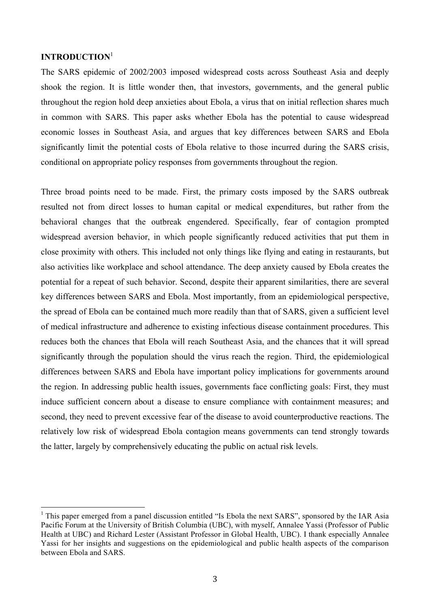## **INTRODUCTION**<sup>1</sup>

The SARS epidemic of 2002/2003 imposed widespread costs across Southeast Asia and deeply shook the region. It is little wonder then, that investors, governments, and the general public throughout the region hold deep anxieties about Ebola, a virus that on initial reflection shares much in common with SARS. This paper asks whether Ebola has the potential to cause widespread economic losses in Southeast Asia, and argues that key differences between SARS and Ebola significantly limit the potential costs of Ebola relative to those incurred during the SARS crisis, conditional on appropriate policy responses from governments throughout the region.

Three broad points need to be made. First, the primary costs imposed by the SARS outbreak resulted not from direct losses to human capital or medical expenditures, but rather from the behavioral changes that the outbreak engendered. Specifically, fear of contagion prompted widespread aversion behavior, in which people significantly reduced activities that put them in close proximity with others. This included not only things like flying and eating in restaurants, but also activities like workplace and school attendance. The deep anxiety caused by Ebola creates the potential for a repeat of such behavior. Second, despite their apparent similarities, there are several key differences between SARS and Ebola. Most importantly, from an epidemiological perspective, the spread of Ebola can be contained much more readily than that of SARS, given a sufficient level of medical infrastructure and adherence to existing infectious disease containment procedures. This reduces both the chances that Ebola will reach Southeast Asia, and the chances that it will spread significantly through the population should the virus reach the region. Third, the epidemiological differences between SARS and Ebola have important policy implications for governments around the region. In addressing public health issues, governments face conflicting goals: First, they must induce sufficient concern about a disease to ensure compliance with containment measures; and second, they need to prevent excessive fear of the disease to avoid counterproductive reactions. The relatively low risk of widespread Ebola contagion means governments can tend strongly towards the latter, largely by comprehensively educating the public on actual risk levels.

<sup>&</sup>lt;sup>1</sup> This paper emerged from a panel discussion entitled "Is Ebola the next SARS", sponsored by the IAR Asia Pacific Forum at the University of British Columbia (UBC), with myself, Annalee Yassi (Professor of Public Health at UBC) and Richard Lester (Assistant Professor in Global Health, UBC). I thank especially Annalee Yassi for her insights and suggestions on the epidemiological and public health aspects of the comparison between Ebola and SARS.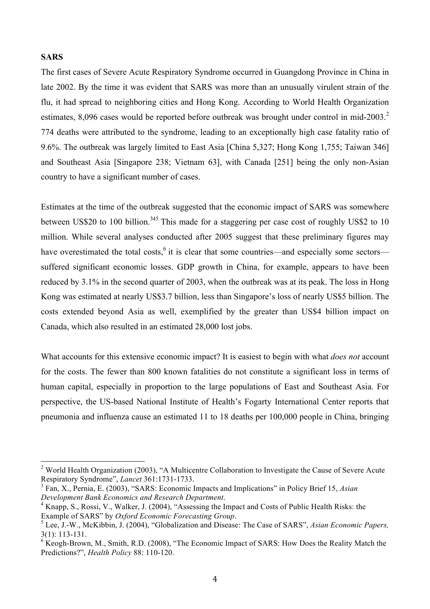#### **SARS**

The first cases of Severe Acute Respiratory Syndrome occurred in Guangdong Province in China in late 2002. By the time it was evident that SARS was more than an unusually virulent strain of the flu, it had spread to neighboring cities and Hong Kong. According to World Health Organization estimates, 8,096 cases would be reported before outbreak was brought under control in mid-2003.<sup>2</sup> 774 deaths were attributed to the syndrome, leading to an exceptionally high case fatality ratio of 9.6%. The outbreak was largely limited to East Asia [China 5,327; Hong Kong 1,755; Taiwan 346] and Southeast Asia [Singapore 238; Vietnam 63], with Canada [251] being the only non-Asian country to have a significant number of cases.

Estimates at the time of the outbreak suggested that the economic impact of SARS was somewhere between US\$20 to 100 billion.<sup>345</sup> This made for a staggering per case cost of roughly US\$2 to 10 million. While several analyses conducted after 2005 suggest that these preliminary figures may have overestimated the total costs, <sup>6</sup> it is clear that some countries—and especially some sectors suffered significant economic losses. GDP growth in China, for example, appears to have been reduced by 3.1% in the second quarter of 2003, when the outbreak was at its peak. The loss in Hong Kong was estimated at nearly US\$3.7 billion, less than Singapore's loss of nearly US\$5 billion. The costs extended beyond Asia as well, exemplified by the greater than US\$4 billion impact on Canada, which also resulted in an estimated 28,000 lost jobs.

What accounts for this extensive economic impact? It is easiest to begin with what *does not* account for the costs. The fewer than 800 known fatalities do not constitute a significant loss in terms of human capital, especially in proportion to the large populations of East and Southeast Asia. For perspective, the US-based National Institute of Health's Fogarty International Center reports that pneumonia and influenza cause an estimated 11 to 18 deaths per 100,000 people in China, bringing

<sup>&</sup>lt;sup>2</sup> World Health Organization (2003), "A Multicentre Collaboration to Investigate the Cause of Severe Acute Respiratory Syndrome", *Lancet* 361:1731-1733.

<sup>3</sup> Fan, X., Pernia, E. (2003), "SARS: Economic Impacts and Implications" in Policy Brief 15, *Asian Development Bank Economics and Research Department*. 4

<sup>&</sup>lt;sup>4</sup> Knapp, S., Rossi, V., Walker, J. (2004), "Assessing the Impact and Costs of Public Health Risks: the Example of SARS" by *Oxford Economic Forecasting Group.* 

Lee, J.-W., McKibbin, J. (2004), "Globalization and Disease: The Case of SARS", *Asian Economic Papers,*  3(1): 113-131.

<sup>&</sup>lt;sup>6</sup> Keogh-Brown, M., Smith, R.D. (2008), "The Economic Impact of SARS: How Does the Reality Match the Predictions?", *Health Policy* 88: 110-120.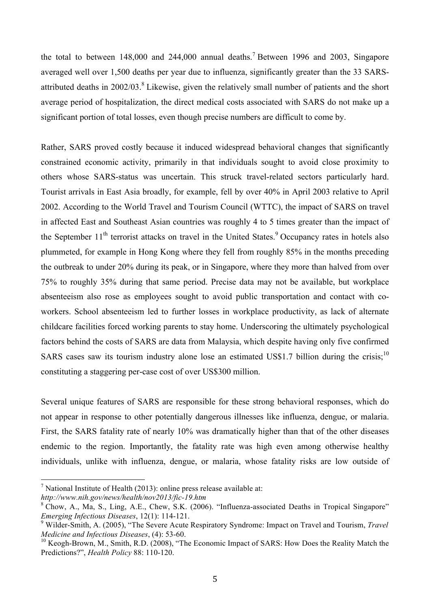the total to between  $148,000$  and  $244,000$  annual deaths.<sup>7</sup> Between 1996 and 2003, Singapore averaged well over 1,500 deaths per year due to influenza, significantly greater than the 33 SARSattributed deaths in  $2002/03$ .<sup>8</sup> Likewise, given the relatively small number of patients and the short average period of hospitalization, the direct medical costs associated with SARS do not make up a significant portion of total losses, even though precise numbers are difficult to come by.

Rather, SARS proved costly because it induced widespread behavioral changes that significantly constrained economic activity, primarily in that individuals sought to avoid close proximity to others whose SARS-status was uncertain. This struck travel-related sectors particularly hard. Tourist arrivals in East Asia broadly, for example, fell by over 40% in April 2003 relative to April 2002. According to the World Travel and Tourism Council (WTTC), the impact of SARS on travel in affected East and Southeast Asian countries was roughly 4 to 5 times greater than the impact of the September  $11<sup>th</sup>$  terrorist attacks on travel in the United States.<sup>9</sup> Occupancy rates in hotels also plummeted, for example in Hong Kong where they fell from roughly 85% in the months preceding the outbreak to under 20% during its peak, or in Singapore, where they more than halved from over 75% to roughly 35% during that same period. Precise data may not be available, but workplace absenteeism also rose as employees sought to avoid public transportation and contact with coworkers. School absenteeism led to further losses in workplace productivity, as lack of alternate childcare facilities forced working parents to stay home. Underscoring the ultimately psychological factors behind the costs of SARS are data from Malaysia, which despite having only five confirmed SARS cases saw its tourism industry alone lose an estimated US\$1.7 billion during the crisis;<sup>10</sup> constituting a staggering per-case cost of over US\$300 million.

Several unique features of SARS are responsible for these strong behavioral responses, which do not appear in response to other potentially dangerous illnesses like influenza, dengue, or malaria. First, the SARS fatality rate of nearly 10% was dramatically higher than that of the other diseases endemic to the region. Importantly, the fatality rate was high even among otherwise healthy individuals, unlike with influenza, dengue, or malaria, whose fatality risks are low outside of

<sup>&</sup>lt;sup>7</sup> National Institute of Health (2013): online press release available at:

*http://www.nih.gov/news/health/nov2013/fic-19.htm*

<sup>&</sup>lt;sup>8</sup> Chow, A., Ma, S., Ling, A.E., Chew, S.K. (2006). "Influenza-associated Deaths in Tropical Singapore" *Emerging Infectious Diseases*, 12(1): 114-121.

<sup>9</sup> Wilder-Smith, A. (2005), "The Severe Acute Respiratory Syndrome: Impact on Travel and Tourism, *Travel Medicine and Infectious Diseases*, (4): 53-60.

<sup>&</sup>lt;sup>10</sup> Keogh-Brown, M., Smith, R.D. (2008), "The Economic Impact of SARS: How Does the Reality Match the Predictions?", *Health Policy* 88: 110-120.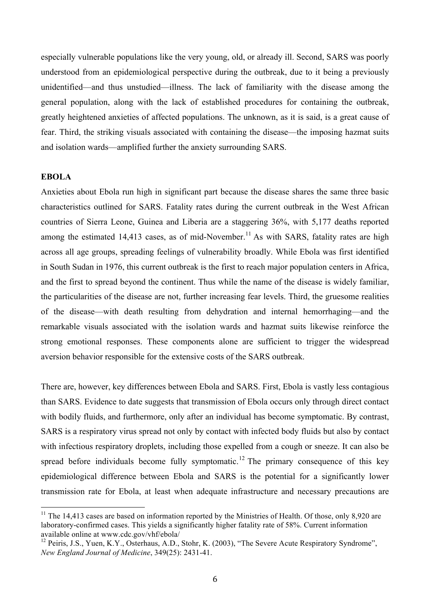especially vulnerable populations like the very young, old, or already ill. Second, SARS was poorly understood from an epidemiological perspective during the outbreak, due to it being a previously unidentified—and thus unstudied—illness. The lack of familiarity with the disease among the general population, along with the lack of established procedures for containing the outbreak, greatly heightened anxieties of affected populations. The unknown, as it is said, is a great cause of fear. Third, the striking visuals associated with containing the disease—the imposing hazmat suits and isolation wards—amplified further the anxiety surrounding SARS.

#### **EBOLA**

Anxieties about Ebola run high in significant part because the disease shares the same three basic characteristics outlined for SARS. Fatality rates during the current outbreak in the West African countries of Sierra Leone, Guinea and Liberia are a staggering 36%, with 5,177 deaths reported among the estimated 14,413 cases, as of mid-November.<sup>11</sup> As with SARS, fatality rates are high across all age groups, spreading feelings of vulnerability broadly. While Ebola was first identified in South Sudan in 1976, this current outbreak is the first to reach major population centers in Africa, and the first to spread beyond the continent. Thus while the name of the disease is widely familiar, the particularities of the disease are not, further increasing fear levels. Third, the gruesome realities of the disease—with death resulting from dehydration and internal hemorrhaging—and the remarkable visuals associated with the isolation wards and hazmat suits likewise reinforce the strong emotional responses. These components alone are sufficient to trigger the widespread aversion behavior responsible for the extensive costs of the SARS outbreak.

There are, however, key differences between Ebola and SARS. First, Ebola is vastly less contagious than SARS. Evidence to date suggests that transmission of Ebola occurs only through direct contact with bodily fluids, and furthermore, only after an individual has become symptomatic. By contrast, SARS is a respiratory virus spread not only by contact with infected body fluids but also by contact with infectious respiratory droplets, including those expelled from a cough or sneeze. It can also be spread before individuals become fully symptomatic.<sup>12</sup> The primary consequence of this key epidemiological difference between Ebola and SARS is the potential for a significantly lower transmission rate for Ebola, at least when adequate infrastructure and necessary precautions are

<sup>&</sup>lt;sup>11</sup> The 14,413 cases are based on information reported by the Ministries of Health. Of those, only 8,920 are laboratory-confirmed cases. This yields a significantly higher fatality rate of 58%. Current information available online at www.cdc.gov/vhf/ebola/

<sup>&</sup>lt;sup>12</sup> Peiris, J.S., Yuen, K.Y., Osterhaus, A.D., Stohr, K. (2003), "The Severe Acute Respiratory Syndrome", *New England Journal of Medicine*, 349(25): 2431-41.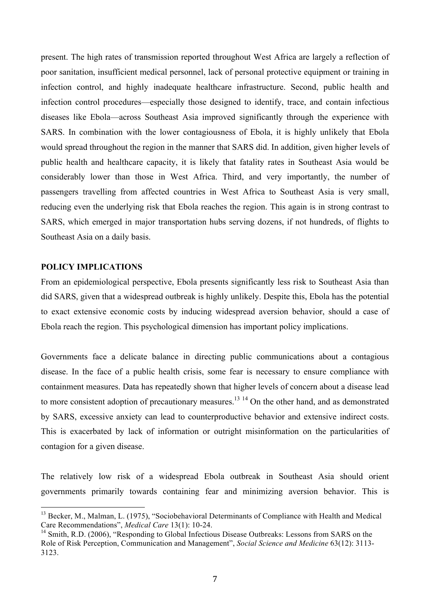present. The high rates of transmission reported throughout West Africa are largely a reflection of poor sanitation, insufficient medical personnel, lack of personal protective equipment or training in infection control, and highly inadequate healthcare infrastructure. Second, public health and infection control procedures—especially those designed to identify, trace, and contain infectious diseases like Ebola—across Southeast Asia improved significantly through the experience with SARS. In combination with the lower contagiousness of Ebola, it is highly unlikely that Ebola would spread throughout the region in the manner that SARS did. In addition, given higher levels of public health and healthcare capacity, it is likely that fatality rates in Southeast Asia would be considerably lower than those in West Africa. Third, and very importantly, the number of passengers travelling from affected countries in West Africa to Southeast Asia is very small, reducing even the underlying risk that Ebola reaches the region. This again is in strong contrast to SARS, which emerged in major transportation hubs serving dozens, if not hundreds, of flights to Southeast Asia on a daily basis.

## **POLICY IMPLICATIONS**

From an epidemiological perspective, Ebola presents significantly less risk to Southeast Asia than did SARS, given that a widespread outbreak is highly unlikely. Despite this, Ebola has the potential to exact extensive economic costs by inducing widespread aversion behavior, should a case of Ebola reach the region. This psychological dimension has important policy implications.

Governments face a delicate balance in directing public communications about a contagious disease. In the face of a public health crisis, some fear is necessary to ensure compliance with containment measures. Data has repeatedly shown that higher levels of concern about a disease lead to more consistent adoption of precautionary measures.<sup>13 14</sup> On the other hand, and as demonstrated by SARS, excessive anxiety can lead to counterproductive behavior and extensive indirect costs. This is exacerbated by lack of information or outright misinformation on the particularities of contagion for a given disease.

The relatively low risk of a widespread Ebola outbreak in Southeast Asia should orient governments primarily towards containing fear and minimizing aversion behavior. This is

<sup>&</sup>lt;sup>13</sup> Becker, M., Malman, L. (1975), "Sociobehavioral Determinants of Compliance with Health and Medical Care Recommendations", *Medical Care* 13(1): 10-24.

<sup>&</sup>lt;sup>14</sup> Smith, R.D. (2006), "Responding to Global Infectious Disease Outbreaks: Lessons from SARS on the Role of Risk Perception, Communication and Management", *Social Science and Medicine* 63(12): 3113- 3123.